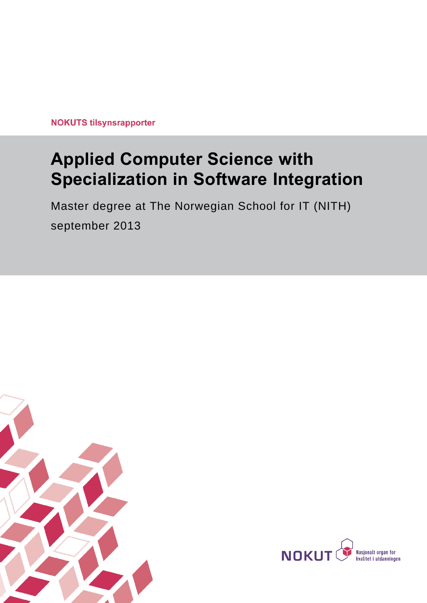**NOKUTS tilsynsrapporter** 

# **Applied Computer Science with Specialization in Software Integration**

Master degree at The Norwegian School for IT (NITH) september 2013



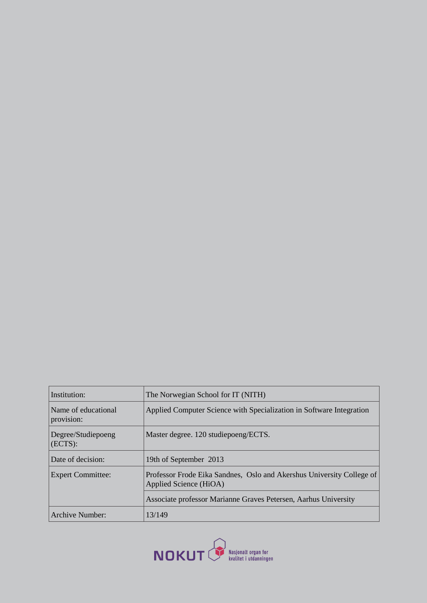| The Norwegian School for IT (NITH)                                                              |
|-------------------------------------------------------------------------------------------------|
| Applied Computer Science with Specialization in Software Integration                            |
| Master degree. 120 studiepoeng/ECTS.                                                            |
| 19th of September 2013                                                                          |
| Professor Frode Eika Sandnes, Oslo and Akershus University College of<br>Applied Science (HiOA) |
| Associate professor Marianne Graves Petersen, Aarhus University                                 |
| 13/149                                                                                          |
|                                                                                                 |

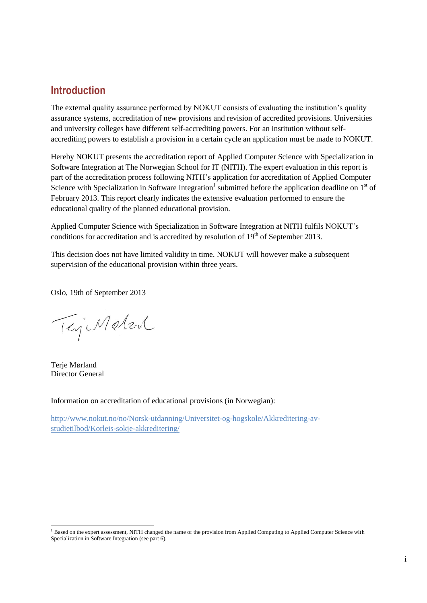## **Introduction**

The external quality assurance performed by NOKUT consists of evaluating the institution's quality assurance systems, accreditation of new provisions and revision of accredited provisions. Universities and university colleges have different self-accrediting powers. For an institution without selfaccrediting powers to establish a provision in a certain cycle an application must be made to NOKUT.

Hereby NOKUT presents the accreditation report of Applied Computer Science with Specialization in Software Integration at The Norwegian School for IT (NITH). The expert evaluation in this report is part of the accreditation process following NITH's application for accreditation of Applied Computer Science with Specialization in Software Integration<sup>1</sup> submitted before the application deadline on  $1<sup>st</sup>$  of February 2013. This report clearly indicates the extensive evaluation performed to ensure the educational quality of the planned educational provision.

Applied Computer Science with Specialization in Software Integration at NITH fulfils NOKUT's conditions for accreditation and is accredited by resolution of  $19<sup>th</sup>$  of September 2013.

This decision does not have limited validity in time. NOKUT will however make a subsequent supervision of the educational provision within three years.

Oslo, 19th of September 2013

TejiMeter

Terje Mørland Director General

l

Information on accreditation of educational provisions (in Norwegian):

[http://www.nokut.no/no/Norsk-utdanning/Universitet-og-hogskole/Akkreditering-av](http://www.nokut.no/no/Norsk-utdanning/Universitet-og-hogskole/Akkreditering-av-studietilbod/Korleis-sokje-akkreditering/)[studietilbod/Korleis-sokje-akkreditering/](http://www.nokut.no/no/Norsk-utdanning/Universitet-og-hogskole/Akkreditering-av-studietilbod/Korleis-sokje-akkreditering/)

<sup>&</sup>lt;sup>1</sup> Based on the expert assessment, NITH changed the name of the provision from Applied Computing to Applied Computer Science with Specialization in Software Integration (see part 6).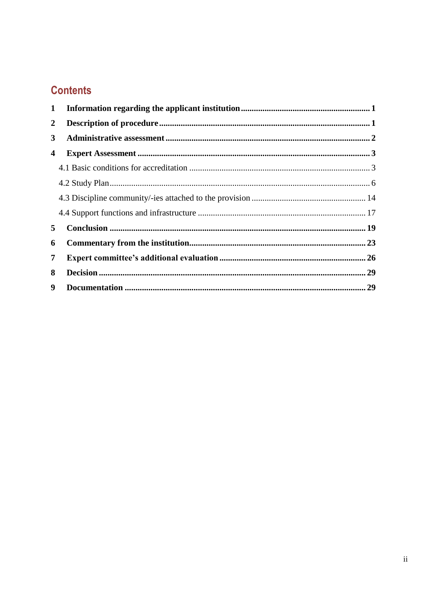## **Contents**

| 1 |  |
|---|--|
| 2 |  |
| 3 |  |
| 4 |  |
|   |  |
|   |  |
|   |  |
|   |  |
| 5 |  |
| 6 |  |
| 7 |  |
| 8 |  |
| 9 |  |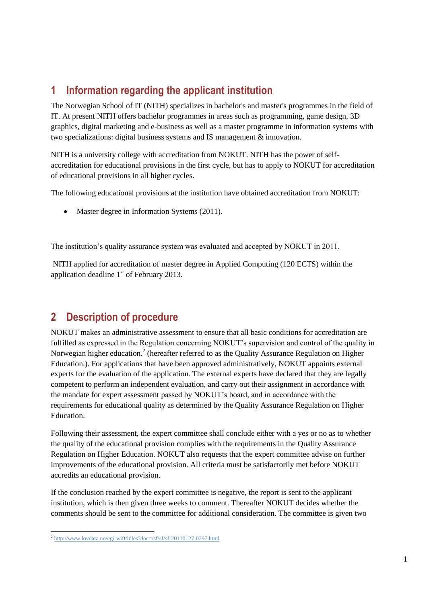## <span id="page-4-0"></span>**1 Information regarding the applicant institution**

The Norwegian School of IT (NITH) specializes in bachelor's and master's programmes in the field of IT. At present NITH offers bachelor programmes in areas such as programming, game design, 3D graphics, digital marketing and e-business as well as a master programme in information systems with two specializations: digital business systems and IS management & innovation.

NITH is a university college with accreditation from NOKUT. NITH has the power of selfaccreditation for educational provisions in the first cycle, but has to apply to NOKUT for accreditation of educational provisions in all higher cycles.

The following educational provisions at the institution have obtained accreditation from NOKUT:

• Master degree in Information Systems (2011).

The institution's quality assurance system was evaluated and accepted by NOKUT in 2011.

NITH applied for accreditation of master degree in Applied Computing (120 ECTS) within the application deadline  $1<sup>st</sup>$  of February 2013.

## <span id="page-4-1"></span>**2 Description of procedure**

NOKUT makes an administrative assessment to ensure that all basic conditions for accreditation are fulfilled as expressed in the Regulation concerning NOKUT's supervision and control of the quality in Norwegian higher education.<sup>2</sup> (hereafter referred to as the Quality Assurance Regulation on Higher Education.). For applications that have been approved administratively, NOKUT appoints external experts for the evaluation of the application. The external experts have declared that they are legally competent to perform an independent evaluation, and carry out their assignment in accordance with the mandate for expert assessment passed by NOKUT's board, and in accordance with the requirements for educational quality as determined by the Quality Assurance Regulation on Higher Education.

Following their assessment, the expert committee shall conclude either with a yes or no as to whether the quality of the educational provision complies with the requirements in the Quality Assurance Regulation on Higher Education. NOKUT also requests that the expert committee advise on further improvements of the educational provision. All criteria must be satisfactorily met before NOKUT accredits an educational provision.

If the conclusion reached by the expert committee is negative, the report is sent to the applicant institution, which is then given three weeks to comment. Thereafter NOKUT decides whether the comments should be sent to the committee for additional consideration. The committee is given two

 2 <http://www.lovdata.no/cgi-wift/ldles?doc=/sf/sf/sf-20110127-0297.html>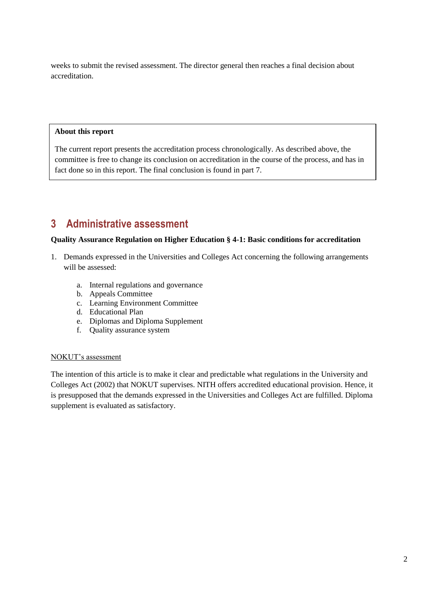weeks to submit the revised assessment. The director general then reaches a final decision about accreditation.

#### **About this report**

The current report presents the accreditation process chronologically. As described above, the committee is free to change its conclusion on accreditation in the course of the process, and has in fact done so in this report. The final conclusion is found in part 7.

## <span id="page-5-0"></span>**3 Administrative assessment**

#### **Quality Assurance Regulation on Higher Education § 4-1: Basic conditions for accreditation**

- 1. Demands expressed in the Universities and Colleges Act concerning the following arrangements will be assessed:
	- a. Internal regulations and governance
	- b. Appeals Committee
	- c. Learning Environment Committee
	- d. Educational Plan
	- e. Diplomas and Diploma Supplement
	- f. Quality assurance system

#### NOKUT's assessment

The intention of this article is to make it clear and predictable what regulations in the University and Colleges Act (2002) that NOKUT supervises. NITH offers accredited educational provision. Hence, it is presupposed that the demands expressed in the Universities and Colleges Act are fulfilled. Diploma supplement is evaluated as satisfactory.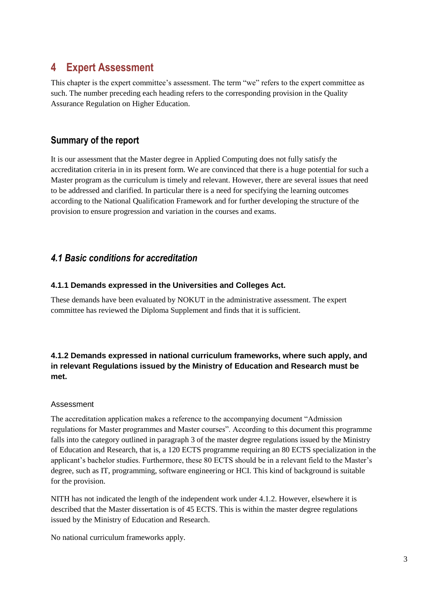## <span id="page-6-0"></span>**4 Expert Assessment**

This chapter is the expert committee's assessment. The term "we" refers to the expert committee as such. The number preceding each heading refers to the corresponding provision in the Quality Assurance Regulation on Higher Education.

## **Summary of the report**

It is our assessment that the Master degree in Applied Computing does not fully satisfy the accreditation criteria in in its present form. We are convinced that there is a huge potential for such a Master program as the curriculum is timely and relevant. However, there are several issues that need to be addressed and clarified. In particular there is a need for specifying the learning outcomes according to the National Qualification Framework and for further developing the structure of the provision to ensure progression and variation in the courses and exams.

## <span id="page-6-1"></span>*4.1 Basic conditions for accreditation*

## **4.1.1 Demands expressed in the Universities and Colleges Act.**

These demands have been evaluated by NOKUT in the administrative assessment. The expert committee has reviewed the Diploma Supplement and finds that it is sufficient.

## **4.1.2 Demands expressed in national curriculum frameworks, where such apply, and in relevant Regulations issued by the Ministry of Education and Research must be met.**

## Assessment

The accreditation application makes a reference to the accompanying document "Admission regulations for Master programmes and Master courses". According to this document this programme falls into the category outlined in paragraph 3 of the master degree regulations issued by the Ministry of Education and Research, that is, a 120 ECTS programme requiring an 80 ECTS specialization in the applicant's bachelor studies. Furthermore, these 80 ECTS should be in a relevant field to the Master's degree, such as IT, programming, software engineering or HCI. This kind of background is suitable for the provision.

NITH has not indicated the length of the independent work under 4.1.2. However, elsewhere it is described that the Master dissertation is of 45 ECTS. This is within the master degree regulations issued by the Ministry of Education and Research.

No national curriculum frameworks apply.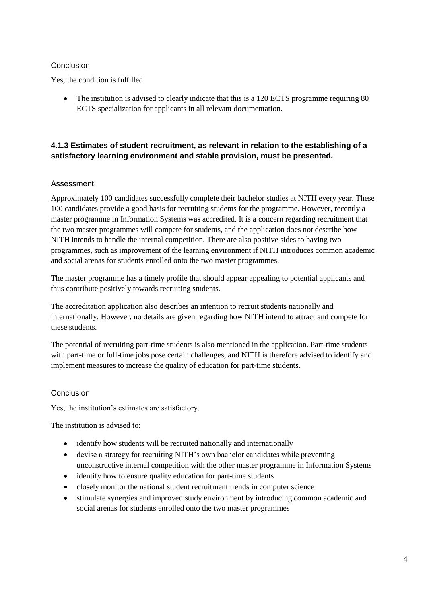## Conclusion

Yes, the condition is fulfilled.

• The institution is advised to clearly indicate that this is a 120 ECTS programme requiring 80 ECTS specialization for applicants in all relevant documentation.

## **4.1.3 Estimates of student recruitment, as relevant in relation to the establishing of a satisfactory learning environment and stable provision, must be presented.**

#### Assessment

Approximately 100 candidates successfully complete their bachelor studies at NITH every year. These 100 candidates provide a good basis for recruiting students for the programme. However, recently a master programme in Information Systems was accredited. It is a concern regarding recruitment that the two master programmes will compete for students, and the application does not describe how NITH intends to handle the internal competition. There are also positive sides to having two programmes, such as improvement of the learning environment if NITH introduces common academic and social arenas for students enrolled onto the two master programmes.

The master programme has a timely profile that should appear appealing to potential applicants and thus contribute positively towards recruiting students.

The accreditation application also describes an intention to recruit students nationally and internationally. However, no details are given regarding how NITH intend to attract and compete for these students.

The potential of recruiting part-time students is also mentioned in the application. Part-time students with part-time or full-time jobs pose certain challenges, and NITH is therefore advised to identify and implement measures to increase the quality of education for part-time students.

#### Conclusion

Yes, the institution's estimates are satisfactory.

The institution is advised to:

- identify how students will be recruited nationally and internationally
- devise a strategy for recruiting NITH's own bachelor candidates while preventing unconstructive internal competition with the other master programme in Information Systems
- identify how to ensure quality education for part-time students
- closely monitor the national student recruitment trends in computer science
- stimulate synergies and improved study environment by introducing common academic and social arenas for students enrolled onto the two master programmes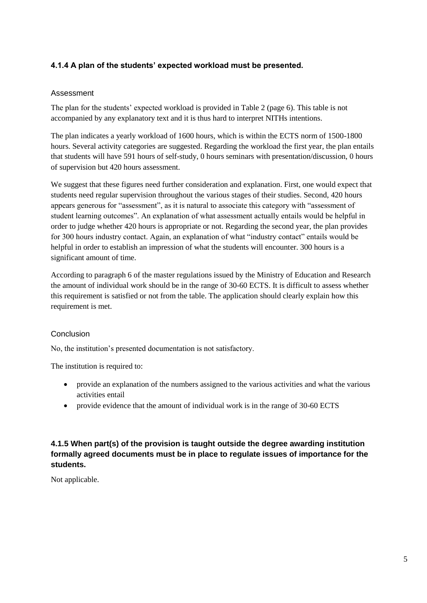## **4.1.4 A plan of the students' expected workload must be presented.**

#### Assessment

The plan for the students' expected workload is provided in Table 2 (page 6). This table is not accompanied by any explanatory text and it is thus hard to interpret NITHs intentions.

The plan indicates a yearly workload of 1600 hours, which is within the ECTS norm of 1500-1800 hours. Several activity categories are suggested. Regarding the workload the first year, the plan entails that students will have 591 hours of self-study, 0 hours seminars with presentation/discussion, 0 hours of supervision but 420 hours assessment.

We suggest that these figures need further consideration and explanation. First, one would expect that students need regular supervision throughout the various stages of their studies. Second, 420 hours appears generous for "assessment", as it is natural to associate this category with "assessment of student learning outcomes". An explanation of what assessment actually entails would be helpful in order to judge whether 420 hours is appropriate or not. Regarding the second year, the plan provides for 300 hours industry contact. Again, an explanation of what "industry contact" entails would be helpful in order to establish an impression of what the students will encounter. 300 hours is a significant amount of time.

According to paragraph 6 of the master regulations issued by the Ministry of Education and Research the amount of individual work should be in the range of 30-60 ECTS. It is difficult to assess whether this requirement is satisfied or not from the table. The application should clearly explain how this requirement is met.

## Conclusion

No, the institution's presented documentation is not satisfactory.

The institution is required to:

- provide an explanation of the numbers assigned to the various activities and what the various activities entail
- provide evidence that the amount of individual work is in the range of 30-60 ECTS

## **4.1.5 When part(s) of the provision is taught outside the degree awarding institution formally agreed documents must be in place to regulate issues of importance for the students.**

Not applicable.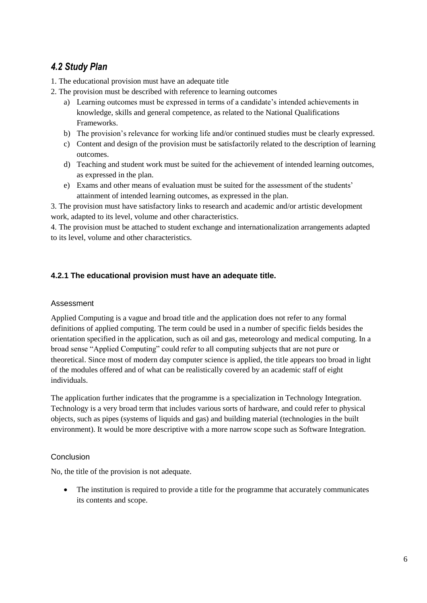## <span id="page-9-0"></span>*4.2 Study Plan*

- 1. The educational provision must have an adequate title
- 2. The provision must be described with reference to learning outcomes
	- a) Learning outcomes must be expressed in terms of a candidate's intended achievements in knowledge, skills and general competence, as related to the National Qualifications **Frameworks**
	- b) The provision's relevance for working life and/or continued studies must be clearly expressed.
	- c) Content and design of the provision must be satisfactorily related to the description of learning outcomes.
	- d) Teaching and student work must be suited for the achievement of intended learning outcomes, as expressed in the plan.
	- e) Exams and other means of evaluation must be suited for the assessment of the students' attainment of intended learning outcomes, as expressed in the plan.

3. The provision must have satisfactory links to research and academic and/or artistic development work, adapted to its level, volume and other characteristics.

4. The provision must be attached to student exchange and internationalization arrangements adapted to its level, volume and other characteristics.

## **4.2.1 The educational provision must have an adequate title.**

## Assessment

Applied Computing is a vague and broad title and the application does not refer to any formal definitions of applied computing. The term could be used in a number of specific fields besides the orientation specified in the application, such as oil and gas, meteorology and medical computing. In a broad sense "Applied Computing" could refer to all computing subjects that are not pure or theoretical. Since most of modern day computer science is applied, the title appears too broad in light of the modules offered and of what can be realistically covered by an academic staff of eight individuals.

The application further indicates that the programme is a specialization in Technology Integration. Technology is a very broad term that includes various sorts of hardware, and could refer to physical objects, such as pipes (systems of liquids and gas) and building material (technologies in the built environment). It would be more descriptive with a more narrow scope such as Software Integration.

## Conclusion

No, the title of the provision is not adequate.

• The institution is required to provide a title for the programme that accurately communicates its contents and scope.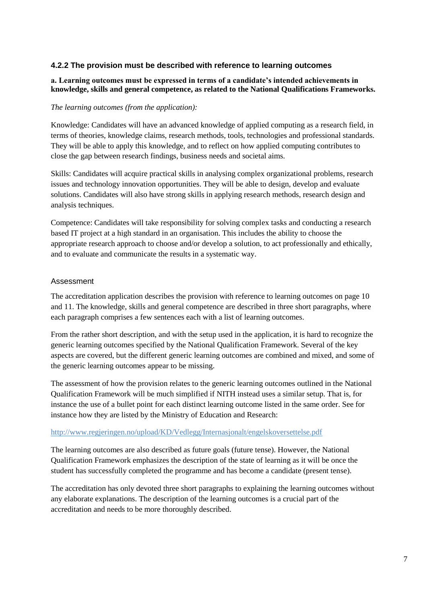#### **4.2.2 The provision must be described with reference to learning outcomes**

#### **a. Learning outcomes must be expressed in terms of a candidate's intended achievements in knowledge, skills and general competence, as related to the National Qualifications Frameworks.**

#### *The learning outcomes (from the application):*

Knowledge: Candidates will have an advanced knowledge of applied computing as a research field, in terms of theories, knowledge claims, research methods, tools, technologies and professional standards. They will be able to apply this knowledge, and to reflect on how applied computing contributes to close the gap between research findings, business needs and societal aims.

Skills: Candidates will acquire practical skills in analysing complex organizational problems, research issues and technology innovation opportunities. They will be able to design, develop and evaluate solutions. Candidates will also have strong skills in applying research methods, research design and analysis techniques.

Competence: Candidates will take responsibility for solving complex tasks and conducting a research based IT project at a high standard in an organisation. This includes the ability to choose the appropriate research approach to choose and/or develop a solution, to act professionally and ethically, and to evaluate and communicate the results in a systematic way.

#### Assessment

The accreditation application describes the provision with reference to learning outcomes on page 10 and 11. The knowledge, skills and general competence are described in three short paragraphs, where each paragraph comprises a few sentences each with a list of learning outcomes.

From the rather short description, and with the setup used in the application, it is hard to recognize the generic learning outcomes specified by the National Qualification Framework. Several of the key aspects are covered, but the different generic learning outcomes are combined and mixed, and some of the generic learning outcomes appear to be missing.

The assessment of how the provision relates to the generic learning outcomes outlined in the National Qualification Framework will be much simplified if NITH instead uses a similar setup. That is, for instance the use of a bullet point for each distinct learning outcome listed in the same order. See for instance how they are listed by the Ministry of Education and Research:

#### <http://www.regjeringen.no/upload/KD/Vedlegg/Internasjonalt/engelskoversettelse.pdf>

The learning outcomes are also described as future goals (future tense). However, the National Qualification Framework emphasizes the description of the state of learning as it will be once the student has successfully completed the programme and has become a candidate (present tense).

The accreditation has only devoted three short paragraphs to explaining the learning outcomes without any elaborate explanations. The description of the learning outcomes is a crucial part of the accreditation and needs to be more thoroughly described.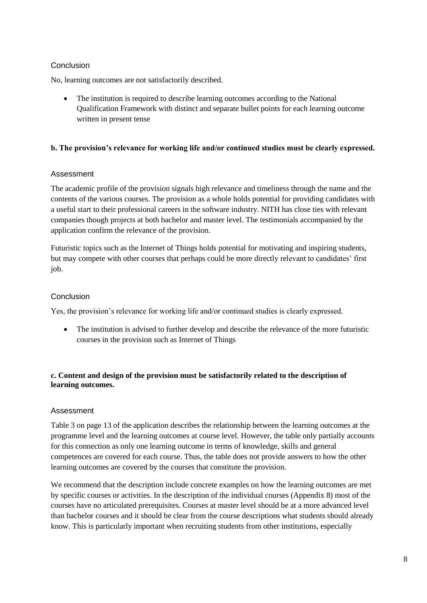## Conclusion

No, learning outcomes are not satisfactorily described.

 The institution is required to describe learning outcomes according to the National Qualification Framework with distinct and separate bullet points for each learning outcome written in present tense

#### **b. The provision's relevance for working life and/or continued studies must be clearly expressed.**

#### Assessment

The academic profile of the provision signals high relevance and timeliness through the name and the contents of the various courses. The provision as a whole holds potential for providing candidates with a useful start to their professional careers in the software industry. NITH has close ties with relevant companies though projects at both bachelor and master level. The testimonials accompanied by the application confirm the relevance of the provision.

Futuristic topics such as the Internet of Things holds potential for motivating and inspiring students, but may compete with other courses that perhaps could be more directly relevant to candidates' first job.

## Conclusion

Yes, the provision's relevance for working life and/or continued studies is clearly expressed.

 The institution is advised to further develop and describe the relevance of the more futuristic courses in the provision such as Internet of Things

#### **c. Content and design of the provision must be satisfactorily related to the description of learning outcomes.**

## Assessment

Table 3 on page 13 of the application describes the relationship between the learning outcomes at the programme level and the learning outcomes at course level. However, the table only partially accounts for this connection as only one learning outcome in terms of knowledge, skills and general competences are covered for each course. Thus, the table does not provide answers to how the other learning outcomes are covered by the courses that constitute the provision.

We recommend that the description include concrete examples on how the learning outcomes are met by specific courses or activities. In the description of the individual courses (Appendix 8) most of the courses have no articulated prerequisites. Courses at master level should be at a more advanced level than bachelor courses and it should be clear from the course descriptions what students should already know. This is particularly important when recruiting students from other institutions, especially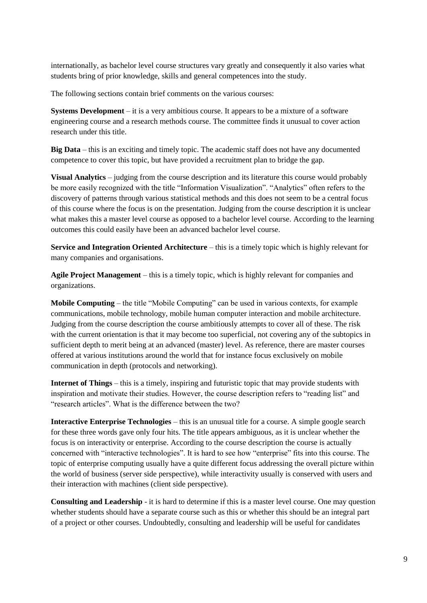internationally, as bachelor level course structures vary greatly and consequently it also varies what students bring of prior knowledge, skills and general competences into the study.

The following sections contain brief comments on the various courses:

**Systems Development** – it is a very ambitious course. It appears to be a mixture of a software engineering course and a research methods course. The committee finds it unusual to cover action research under this title.

**Big Data** – this is an exciting and timely topic. The academic staff does not have any documented competence to cover this topic, but have provided a recruitment plan to bridge the gap.

**Visual Analytics** – judging from the course description and its literature this course would probably be more easily recognized with the title "Information Visualization". "Analytics" often refers to the discovery of patterns through various statistical methods and this does not seem to be a central focus of this course where the focus is on the presentation. Judging from the course description it is unclear what makes this a master level course as opposed to a bachelor level course. According to the learning outcomes this could easily have been an advanced bachelor level course.

**Service and Integration Oriented Architecture** – this is a timely topic which is highly relevant for many companies and organisations.

**Agile Project Management** – this is a timely topic, which is highly relevant for companies and organizations.

**Mobile Computing** – the title "Mobile Computing" can be used in various contexts, for example communications, mobile technology, mobile human computer interaction and mobile architecture. Judging from the course description the course ambitiously attempts to cover all of these. The risk with the current orientation is that it may become too superficial, not covering any of the subtopics in sufficient depth to merit being at an advanced (master) level. As reference, there are master courses offered at various institutions around the world that for instance focus exclusively on mobile communication in depth (protocols and networking).

**Internet of Things** – this is a timely, inspiring and futuristic topic that may provide students with inspiration and motivate their studies. However, the course description refers to "reading list" and "research articles". What is the difference between the two?

**Interactive Enterprise Technologies** – this is an unusual title for a course. A simple google search for these three words gave only four hits. The title appears ambiguous, as it is unclear whether the focus is on interactivity or enterprise. According to the course description the course is actually concerned with "interactive technologies". It is hard to see how "enterprise" fits into this course. The topic of enterprise computing usually have a quite different focus addressing the overall picture within the world of business (server side perspective), while interactivity usually is conserved with users and their interaction with machines (client side perspective).

**Consulting and Leadership** - it is hard to determine if this is a master level course. One may question whether students should have a separate course such as this or whether this should be an integral part of a project or other courses. Undoubtedly, consulting and leadership will be useful for candidates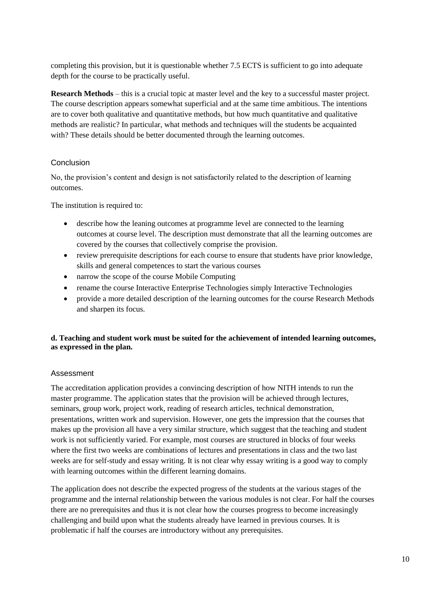completing this provision, but it is questionable whether 7.5 ECTS is sufficient to go into adequate depth for the course to be practically useful.

**Research Methods** – this is a crucial topic at master level and the key to a successful master project. The course description appears somewhat superficial and at the same time ambitious. The intentions are to cover both qualitative and quantitative methods, but how much quantitative and qualitative methods are realistic? In particular, what methods and techniques will the students be acquainted with? These details should be better documented through the learning outcomes.

## Conclusion

No, the provision's content and design is not satisfactorily related to the description of learning outcomes.

The institution is required to:

- describe how the leaning outcomes at programme level are connected to the learning outcomes at course level. The description must demonstrate that all the learning outcomes are covered by the courses that collectively comprise the provision.
- review prerequisite descriptions for each course to ensure that students have prior knowledge, skills and general competences to start the various courses
- narrow the scope of the course Mobile Computing
- rename the course Interactive Enterprise Technologies simply Interactive Technologies
- provide a more detailed description of the learning outcomes for the course Research Methods and sharpen its focus.

#### **d. Teaching and student work must be suited for the achievement of intended learning outcomes, as expressed in the plan.**

## Assessment

The accreditation application provides a convincing description of how NITH intends to run the master programme. The application states that the provision will be achieved through lectures, seminars, group work, project work, reading of research articles, technical demonstration, presentations, written work and supervision. However, one gets the impression that the courses that makes up the provision all have a very similar structure, which suggest that the teaching and student work is not sufficiently varied. For example, most courses are structured in blocks of four weeks where the first two weeks are combinations of lectures and presentations in class and the two last weeks are for self-study and essay writing. It is not clear why essay writing is a good way to comply with learning outcomes within the different learning domains.

The application does not describe the expected progress of the students at the various stages of the programme and the internal relationship between the various modules is not clear. For half the courses there are no prerequisites and thus it is not clear how the courses progress to become increasingly challenging and build upon what the students already have learned in previous courses. It is problematic if half the courses are introductory without any prerequisites.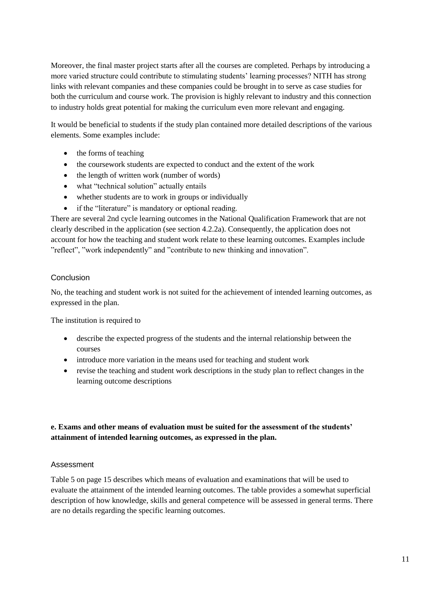Moreover, the final master project starts after all the courses are completed. Perhaps by introducing a more varied structure could contribute to stimulating students' learning processes? NITH has strong links with relevant companies and these companies could be brought in to serve as case studies for both the curriculum and course work. The provision is highly relevant to industry and this connection to industry holds great potential for making the curriculum even more relevant and engaging.

It would be beneficial to students if the study plan contained more detailed descriptions of the various elements. Some examples include:

- the forms of teaching
- the coursework students are expected to conduct and the extent of the work
- the length of written work (number of words)
- what "technical solution" actually entails
- whether students are to work in groups or individually
- if the "literature" is mandatory or optional reading.

There are several 2nd cycle learning outcomes in the National Qualification Framework that are not clearly described in the application (see section 4.2.2a). Consequently, the application does not account for how the teaching and student work relate to these learning outcomes. Examples include "reflect", "work independently" and "contribute to new thinking and innovation".

#### Conclusion

No, the teaching and student work is not suited for the achievement of intended learning outcomes, as expressed in the plan.

The institution is required to

- describe the expected progress of the students and the internal relationship between the courses
- introduce more variation in the means used for teaching and student work
- revise the teaching and student work descriptions in the study plan to reflect changes in the learning outcome descriptions

#### **e. Exams and other means of evaluation must be suited for the assessment of the students' attainment of intended learning outcomes, as expressed in the plan.**

#### Assessment

Table 5 on page 15 describes which means of evaluation and examinations that will be used to evaluate the attainment of the intended learning outcomes. The table provides a somewhat superficial description of how knowledge, skills and general competence will be assessed in general terms. There are no details regarding the specific learning outcomes.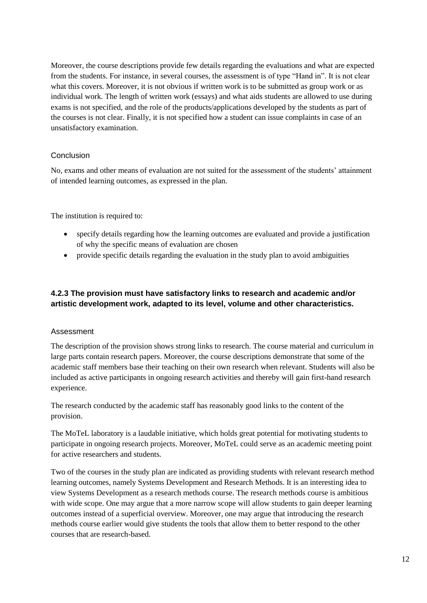Moreover, the course descriptions provide few details regarding the evaluations and what are expected from the students. For instance, in several courses, the assessment is of type "Hand in". It is not clear what this covers. Moreover, it is not obvious if written work is to be submitted as group work or as individual work. The length of written work (essays) and what aids students are allowed to use during exams is not specified, and the role of the products/applications developed by the students as part of the courses is not clear. Finally, it is not specified how a student can issue complaints in case of an unsatisfactory examination.

#### Conclusion

No, exams and other means of evaluation are not suited for the assessment of the students' attainment of intended learning outcomes, as expressed in the plan.

The institution is required to:

- specify details regarding how the learning outcomes are evaluated and provide a justification of why the specific means of evaluation are chosen
- provide specific details regarding the evaluation in the study plan to avoid ambiguities

## **4.2.3 The provision must have satisfactory links to research and academic and/or artistic development work, adapted to its level, volume and other characteristics.**

#### Assessment

The description of the provision shows strong links to research. The course material and curriculum in large parts contain research papers. Moreover, the course descriptions demonstrate that some of the academic staff members base their teaching on their own research when relevant. Students will also be included as active participants in ongoing research activities and thereby will gain first-hand research experience.

The research conducted by the academic staff has reasonably good links to the content of the provision.

The MoTeL laboratory is a laudable initiative, which holds great potential for motivating students to participate in ongoing research projects. Moreover, MoTeL could serve as an academic meeting point for active researchers and students.

Two of the courses in the study plan are indicated as providing students with relevant research method learning outcomes, namely Systems Development and Research Methods. It is an interesting idea to view Systems Development as a research methods course. The research methods course is ambitious with wide scope. One may argue that a more narrow scope will allow students to gain deeper learning outcomes instead of a superficial overview. Moreover, one may argue that introducing the research methods course earlier would give students the tools that allow them to better respond to the other courses that are research-based.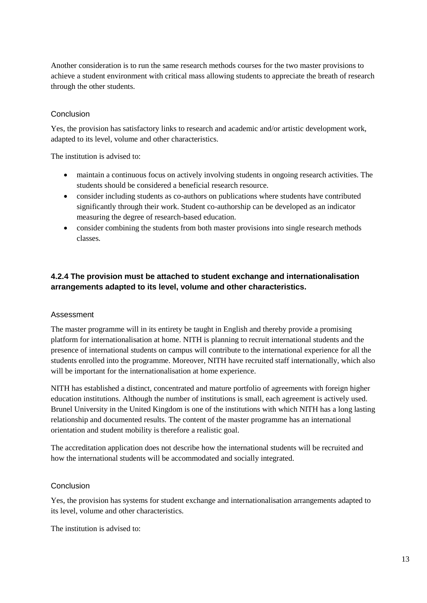Another consideration is to run the same research methods courses for the two master provisions to achieve a student environment with critical mass allowing students to appreciate the breath of research through the other students.

#### Conclusion

Yes, the provision has satisfactory links to research and academic and/or artistic development work, adapted to its level, volume and other characteristics.

The institution is advised to:

- maintain a continuous focus on actively involving students in ongoing research activities. The students should be considered a beneficial research resource.
- consider including students as co-authors on publications where students have contributed significantly through their work. Student co-authorship can be developed as an indicator measuring the degree of research-based education.
- consider combining the students from both master provisions into single research methods classes.

#### **4.2.4 The provision must be attached to student exchange and internationalisation arrangements adapted to its level, volume and other characteristics.**

#### Assessment

The master programme will in its entirety be taught in English and thereby provide a promising platform for internationalisation at home. NITH is planning to recruit international students and the presence of international students on campus will contribute to the international experience for all the students enrolled into the programme. Moreover, NITH have recruited staff internationally, which also will be important for the internationalisation at home experience.

NITH has established a distinct, concentrated and mature portfolio of agreements with foreign higher education institutions. Although the number of institutions is small, each agreement is actively used. Brunel University in the United Kingdom is one of the institutions with which NITH has a long lasting relationship and documented results. The content of the master programme has an international orientation and student mobility is therefore a realistic goal.

The accreditation application does not describe how the international students will be recruited and how the international students will be accommodated and socially integrated.

#### Conclusion

Yes, the provision has systems for student exchange and internationalisation arrangements adapted to its level, volume and other characteristics.

The institution is advised to: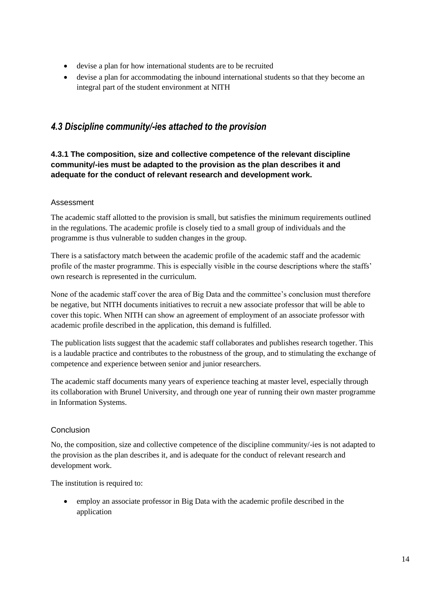- devise a plan for how international students are to be recruited
- devise a plan for accommodating the inbound international students so that they become an integral part of the student environment at NITH

## <span id="page-17-0"></span>*4.3 Discipline community/-ies attached to the provision*

## **4.3.1 The composition, size and collective competence of the relevant discipline community/-ies must be adapted to the provision as the plan describes it and adequate for the conduct of relevant research and development work.**

#### Assessment

The academic staff allotted to the provision is small, but satisfies the minimum requirements outlined in the regulations. The academic profile is closely tied to a small group of individuals and the programme is thus vulnerable to sudden changes in the group.

There is a satisfactory match between the academic profile of the academic staff and the academic profile of the master programme. This is especially visible in the course descriptions where the staffs' own research is represented in the curriculum.

None of the academic staff cover the area of Big Data and the committee's conclusion must therefore be negative, but NITH documents initiatives to recruit a new associate professor that will be able to cover this topic. When NITH can show an agreement of employment of an associate professor with academic profile described in the application, this demand is fulfilled.

The publication lists suggest that the academic staff collaborates and publishes research together. This is a laudable practice and contributes to the robustness of the group, and to stimulating the exchange of competence and experience between senior and junior researchers.

The academic staff documents many years of experience teaching at master level, especially through its collaboration with Brunel University, and through one year of running their own master programme in Information Systems.

## Conclusion

No, the composition, size and collective competence of the discipline community/-ies is not adapted to the provision as the plan describes it, and is adequate for the conduct of relevant research and development work.

The institution is required to:

 employ an associate professor in Big Data with the academic profile described in the application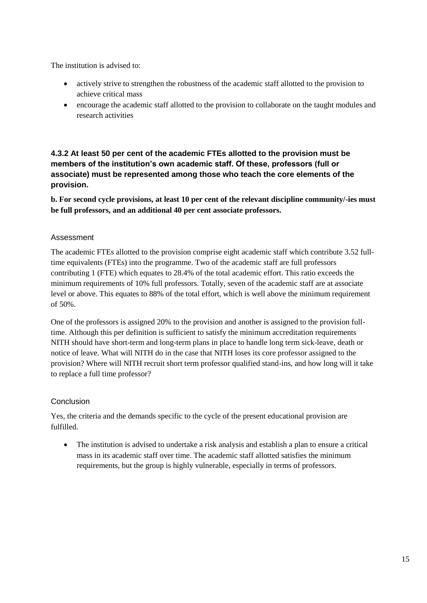The institution is advised to:

- actively strive to strengthen the robustness of the academic staff allotted to the provision to achieve critical mass
- encourage the academic staff allotted to the provision to collaborate on the taught modules and research activities

## **4.3.2 At least 50 per cent of the academic FTEs allotted to the provision must be members of the institution's own academic staff. Of these, professors (full or associate) must be represented among those who teach the core elements of the provision.**

**b. For second cycle provisions, at least 10 per cent of the relevant discipline community/-ies must be full professors, and an additional 40 per cent associate professors.**

## Assessment

The academic FTEs allotted to the provision comprise eight academic staff which contribute 3.52 fulltime equivalents (FTEs) into the programme. Two of the academic staff are full professors contributing 1 (FTE) which equates to 28.4% of the total academic effort. This ratio exceeds the minimum requirements of 10% full professors. Totally, seven of the academic staff are at associate level or above. This equates to 88% of the total effort, which is well above the minimum requirement of 50%.

One of the professors is assigned 20% to the provision and another is assigned to the provision fulltime. Although this per definition is sufficient to satisfy the minimum accreditation requirements NITH should have short-term and long-term plans in place to handle long term sick-leave, death or notice of leave. What will NITH do in the case that NITH loses its core professor assigned to the provision? Where will NITH recruit short term professor qualified stand-ins, and how long will it take to replace a full time professor?

## **Conclusion**

Yes, the criteria and the demands specific to the cycle of the present educational provision are fulfilled.

 The institution is advised to undertake a risk analysis and establish a plan to ensure a critical mass in its academic staff over time. The academic staff allotted satisfies the minimum requirements, but the group is highly vulnerable, especially in terms of professors.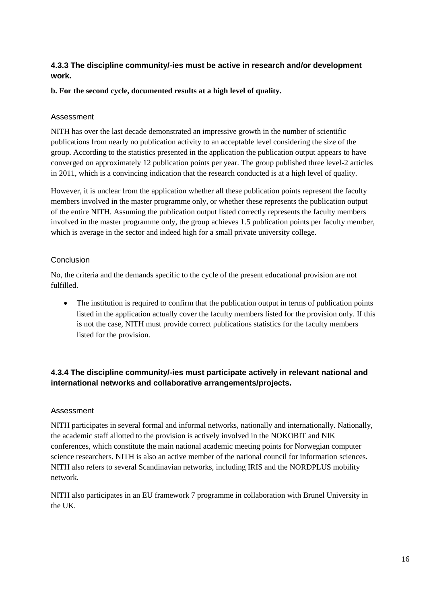## **4.3.3 The discipline community/-ies must be active in research and/or development work.**

#### **b. For the second cycle, documented results at a high level of quality.**

#### Assessment

NITH has over the last decade demonstrated an impressive growth in the number of scientific publications from nearly no publication activity to an acceptable level considering the size of the group. According to the statistics presented in the application the publication output appears to have converged on approximately 12 publication points per year. The group published three level-2 articles in 2011, which is a convincing indication that the research conducted is at a high level of quality.

However, it is unclear from the application whether all these publication points represent the faculty members involved in the master programme only, or whether these represents the publication output of the entire NITH. Assuming the publication output listed correctly represents the faculty members involved in the master programme only, the group achieves 1.5 publication points per faculty member, which is average in the sector and indeed high for a small private university college.

## Conclusion

No, the criteria and the demands specific to the cycle of the present educational provision are not fulfilled.

• The institution is required to confirm that the publication output in terms of publication points listed in the application actually cover the faculty members listed for the provision only. If this is not the case, NITH must provide correct publications statistics for the faculty members listed for the provision.

## **4.3.4 The discipline community/-ies must participate actively in relevant national and international networks and collaborative arrangements/projects.**

## Assessment

NITH participates in several formal and informal networks, nationally and internationally. Nationally, the academic staff allotted to the provision is actively involved in the NOKOBIT and NIK conferences, which constitute the main national academic meeting points for Norwegian computer science researchers. NITH is also an active member of the national council for information sciences. NITH also refers to several Scandinavian networks, including IRIS and the NORDPLUS mobility network.

NITH also participates in an EU framework 7 programme in collaboration with Brunel University in the UK.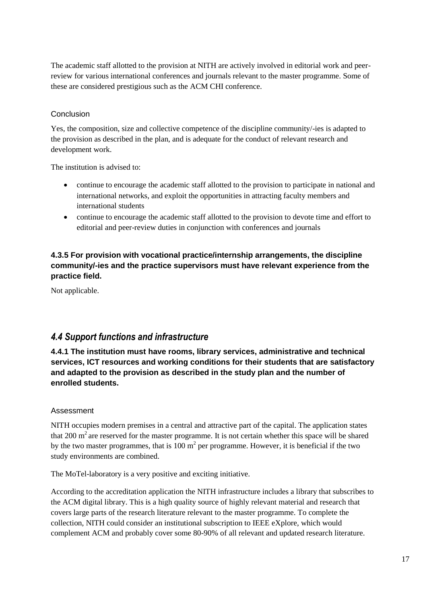The academic staff allotted to the provision at NITH are actively involved in editorial work and peerreview for various international conferences and journals relevant to the master programme. Some of these are considered prestigious such as the ACM CHI conference.

## Conclusion

Yes, the composition, size and collective competence of the discipline community/-ies is adapted to the provision as described in the plan, and is adequate for the conduct of relevant research and development work.

The institution is advised to:

- continue to encourage the academic staff allotted to the provision to participate in national and international networks, and exploit the opportunities in attracting faculty members and international students
- continue to encourage the academic staff allotted to the provision to devote time and effort to editorial and peer-review duties in conjunction with conferences and journals

## **4.3.5 For provision with vocational practice/internship arrangements, the discipline community/-ies and the practice supervisors must have relevant experience from the practice field.**

Not applicable.

## <span id="page-20-0"></span>*4.4 Support functions and infrastructure*

**4.4.1 The institution must have rooms, library services, administrative and technical services, ICT resources and working conditions for their students that are satisfactory and adapted to the provision as described in the study plan and the number of enrolled students.** 

## Assessment

NITH occupies modern premises in a central and attractive part of the capital. The application states that 200  $m<sup>2</sup>$  are reserved for the master programme. It is not certain whether this space will be shared by the two master programmes, that is  $100 \text{ m}^2$  per programme. However, it is beneficial if the two study environments are combined.

The MoTel-laboratory is a very positive and exciting initiative.

According to the accreditation application the NITH infrastructure includes a library that subscribes to the ACM digital library. This is a high quality source of highly relevant material and research that covers large parts of the research literature relevant to the master programme. To complete the collection, NITH could consider an institutional subscription to IEEE eXplore, which would complement ACM and probably cover some 80-90% of all relevant and updated research literature.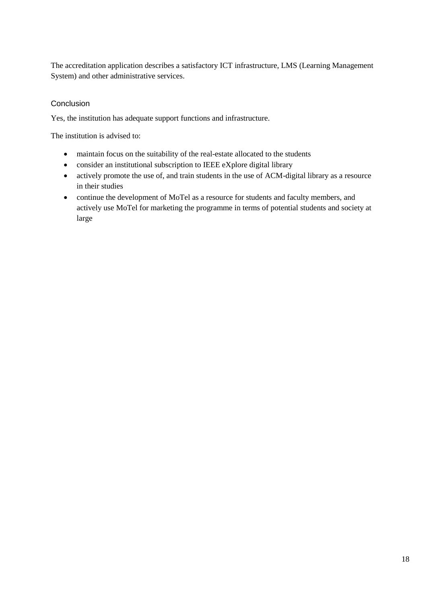The accreditation application describes a satisfactory ICT infrastructure, LMS (Learning Management System) and other administrative services.

#### Conclusion

Yes, the institution has adequate support functions and infrastructure.

The institution is advised to:

- maintain focus on the suitability of the real-estate allocated to the students
- consider an institutional subscription to IEEE eXplore digital library
- actively promote the use of, and train students in the use of ACM-digital library as a resource in their studies
- continue the development of MoTel as a resource for students and faculty members, and actively use MoTel for marketing the programme in terms of potential students and society at large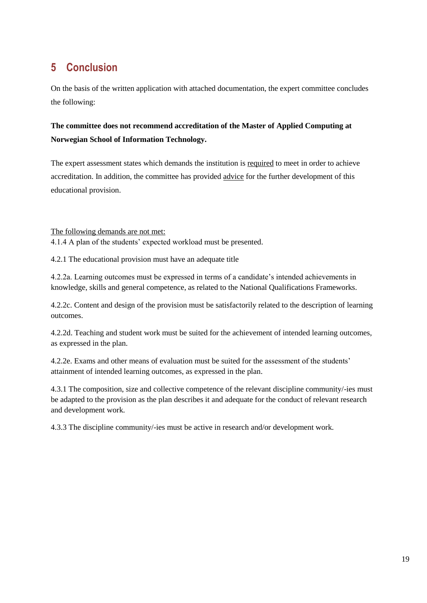## <span id="page-22-0"></span>**5 Conclusion**

On the basis of the written application with attached documentation, the expert committee concludes the following:

## **The committee does not recommend accreditation of the Master of Applied Computing at Norwegian School of Information Technology.**

The expert assessment states which demands the institution is required to meet in order to achieve accreditation. In addition, the committee has provided advice for the further development of this educational provision.

The following demands are not met:

4.1.4 A plan of the students' expected workload must be presented.

4.2.1 The educational provision must have an adequate title

4.2.2a. Learning outcomes must be expressed in terms of a candidate's intended achievements in knowledge, skills and general competence, as related to the National Qualifications Frameworks.

4.2.2c. Content and design of the provision must be satisfactorily related to the description of learning outcomes.

4.2.2d. Teaching and student work must be suited for the achievement of intended learning outcomes, as expressed in the plan.

4.2.2e. Exams and other means of evaluation must be suited for the assessment of the students' attainment of intended learning outcomes, as expressed in the plan.

4.3.1 The composition, size and collective competence of the relevant discipline community/-ies must be adapted to the provision as the plan describes it and adequate for the conduct of relevant research and development work.

4.3.3 The discipline community/-ies must be active in research and/or development work.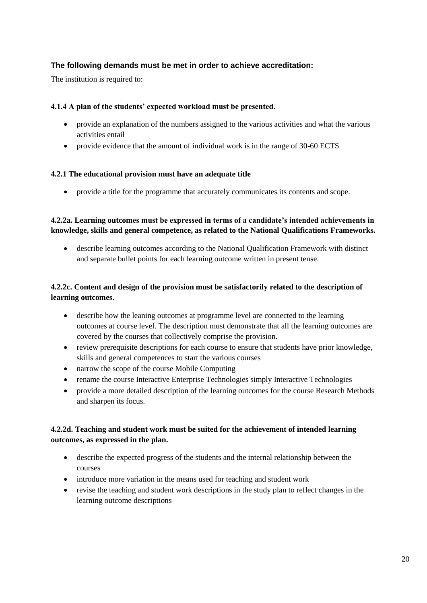## **The following demands must be met in order to achieve accreditation:**

The institution is required to:

#### **4.1.4 A plan of the students' expected workload must be presented.**

- provide an explanation of the numbers assigned to the various activities and what the various activities entail
- provide evidence that the amount of individual work is in the range of 30-60 ECTS

#### **4.2.1 The educational provision must have an adequate title**

provide a title for the programme that accurately communicates its contents and scope.

## **4.2.2a. Learning outcomes must be expressed in terms of a candidate's intended achievements in knowledge, skills and general competence, as related to the National Qualifications Frameworks.**

 describe learning outcomes according to the National Qualification Framework with distinct and separate bullet points for each learning outcome written in present tense.

## **4.2.2c. Content and design of the provision must be satisfactorily related to the description of learning outcomes.**

- describe how the leaning outcomes at programme level are connected to the learning outcomes at course level. The description must demonstrate that all the learning outcomes are covered by the courses that collectively comprise the provision.
- review prerequisite descriptions for each course to ensure that students have prior knowledge, skills and general competences to start the various courses
- narrow the scope of the course Mobile Computing
- rename the course Interactive Enterprise Technologies simply Interactive Technologies
- provide a more detailed description of the learning outcomes for the course Research Methods and sharpen its focus.

## **4.2.2d. Teaching and student work must be suited for the achievement of intended learning outcomes, as expressed in the plan.**

- describe the expected progress of the students and the internal relationship between the courses
- introduce more variation in the means used for teaching and student work
- revise the teaching and student work descriptions in the study plan to reflect changes in the learning outcome descriptions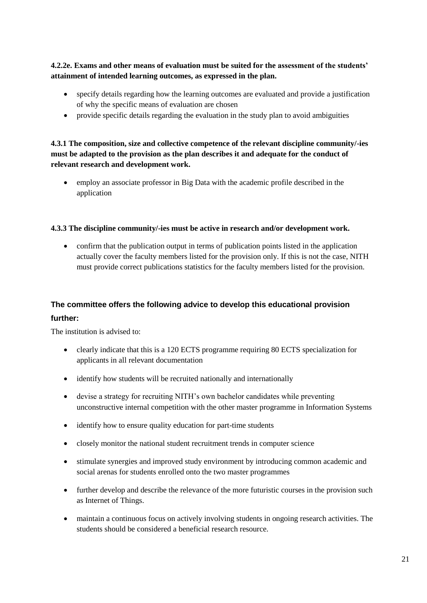**4.2.2e. Exams and other means of evaluation must be suited for the assessment of the students' attainment of intended learning outcomes, as expressed in the plan.**

- specify details regarding how the learning outcomes are evaluated and provide a justification of why the specific means of evaluation are chosen
- provide specific details regarding the evaluation in the study plan to avoid ambiguities

## **4.3.1 The composition, size and collective competence of the relevant discipline community/-ies must be adapted to the provision as the plan describes it and adequate for the conduct of relevant research and development work.**

 employ an associate professor in Big Data with the academic profile described in the application

#### **4.3.3 The discipline community/-ies must be active in research and/or development work.**

 confirm that the publication output in terms of publication points listed in the application actually cover the faculty members listed for the provision only. If this is not the case, NITH must provide correct publications statistics for the faculty members listed for the provision.

## **The committee offers the following advice to develop this educational provision further:**

The institution is advised to:

- clearly indicate that this is a 120 ECTS programme requiring 80 ECTS specialization for applicants in all relevant documentation
- identify how students will be recruited nationally and internationally
- devise a strategy for recruiting NITH's own bachelor candidates while preventing unconstructive internal competition with the other master programme in Information Systems
- identify how to ensure quality education for part-time students
- closely monitor the national student recruitment trends in computer science
- stimulate synergies and improved study environment by introducing common academic and social arenas for students enrolled onto the two master programmes
- further develop and describe the relevance of the more futuristic courses in the provision such as Internet of Things.
- maintain a continuous focus on actively involving students in ongoing research activities. The students should be considered a beneficial research resource.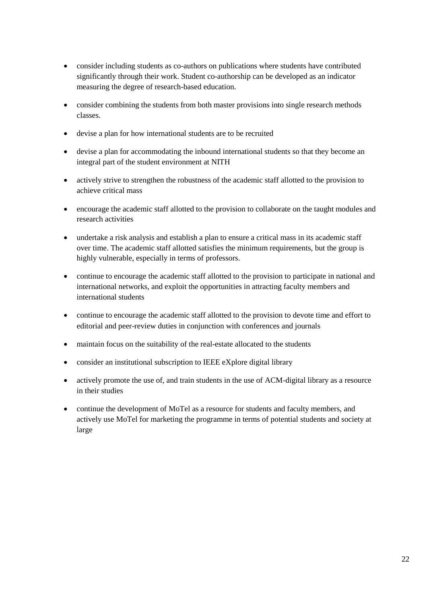- consider including students as co-authors on publications where students have contributed significantly through their work. Student co-authorship can be developed as an indicator measuring the degree of research-based education.
- consider combining the students from both master provisions into single research methods classes.
- devise a plan for how international students are to be recruited
- devise a plan for accommodating the inbound international students so that they become an integral part of the student environment at NITH
- actively strive to strengthen the robustness of the academic staff allotted to the provision to achieve critical mass
- encourage the academic staff allotted to the provision to collaborate on the taught modules and research activities
- undertake a risk analysis and establish a plan to ensure a critical mass in its academic staff over time. The academic staff allotted satisfies the minimum requirements, but the group is highly vulnerable, especially in terms of professors.
- continue to encourage the academic staff allotted to the provision to participate in national and international networks, and exploit the opportunities in attracting faculty members and international students
- continue to encourage the academic staff allotted to the provision to devote time and effort to editorial and peer-review duties in conjunction with conferences and journals
- maintain focus on the suitability of the real-estate allocated to the students
- consider an institutional subscription to IEEE eXplore digital library
- actively promote the use of, and train students in the use of ACM-digital library as a resource in their studies
- continue the development of MoTel as a resource for students and faculty members, and actively use MoTel for marketing the programme in terms of potential students and society at large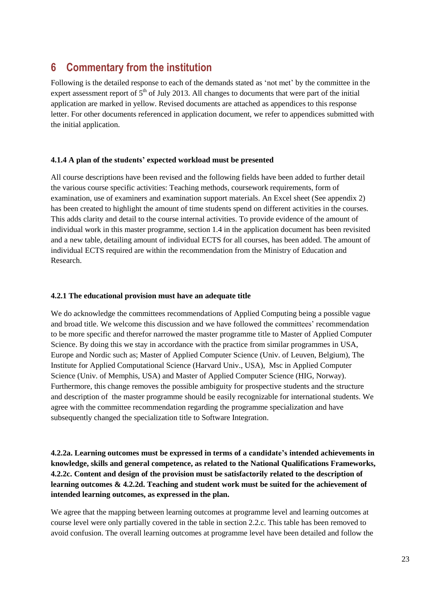## <span id="page-26-0"></span>**6 Commentary from the institution**

Following is the detailed response to each of the demands stated as 'not met' by the committee in the expert assessment report of  $5<sup>th</sup>$  of July 2013. All changes to documents that were part of the initial application are marked in yellow. Revised documents are attached as appendices to this response letter. For other documents referenced in application document, we refer to appendices submitted with the initial application.

#### **4.1.4 A plan of the students' expected workload must be presented**

All course descriptions have been revised and the following fields have been added to further detail the various course specific activities: Teaching methods, coursework requirements, form of examination, use of examiners and examination support materials. An Excel sheet (See appendix 2) has been created to highlight the amount of time students spend on different activities in the courses. This adds clarity and detail to the course internal activities. To provide evidence of the amount of individual work in this master programme, section 1.4 in the application document has been revisited and a new table, detailing amount of individual ECTS for all courses, has been added. The amount of individual ECTS required are within the recommendation from the Ministry of Education and Research.

#### **4.2.1 The educational provision must have an adequate title**

We do acknowledge the committees recommendations of Applied Computing being a possible vague and broad title. We welcome this discussion and we have followed the committees' recommendation to be more specific and therefor narrowed the master programme title to Master of Applied Computer Science. By doing this we stay in accordance with the practice from similar programmes in USA, Europe and Nordic such as; Master of Applied Computer Science (Univ. of Leuven, Belgium), The Institute for Applied Computational Science (Harvard Univ., USA), Msc in Applied Computer Science (Univ. of Memphis, USA) and Master of Applied Computer Science (HIG, Norway). Furthermore, this change removes the possible ambiguity for prospective students and the structure and description of the master programme should be easily recognizable for international students. We agree with the committee recommendation regarding the programme specialization and have subsequently changed the specialization title to Software Integration.

## **4.2.2a. Learning outcomes must be expressed in terms of a candidate's intended achievements in knowledge, skills and general competence, as related to the National Qualifications Frameworks, 4.2.2c. Content and design of the provision must be satisfactorily related to the description of learning outcomes & 4.2.2d. Teaching and student work must be suited for the achievement of intended learning outcomes, as expressed in the plan.**

We agree that the mapping between learning outcomes at programme level and learning outcomes at course level were only partially covered in the table in section 2.2.c. This table has been removed to avoid confusion. The overall learning outcomes at programme level have been detailed and follow the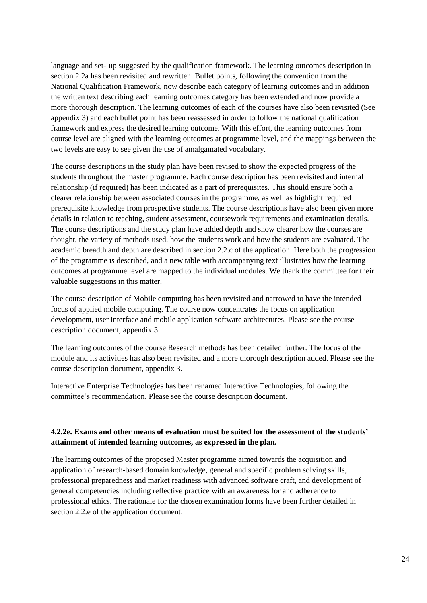language and set-‐up suggested by the qualification framework. The learning outcomes description in section 2.2a has been revisited and rewritten. Bullet points, following the convention from the National Qualification Framework, now describe each category of learning outcomes and in addition the written text describing each learning outcomes category has been extended and now provide a more thorough description. The learning outcomes of each of the courses have also been revisited (See appendix 3) and each bullet point has been reassessed in order to follow the national qualification framework and express the desired learning outcome. With this effort, the learning outcomes from course level are aligned with the learning outcomes at programme level, and the mappings between the two levels are easy to see given the use of amalgamated vocabulary.

The course descriptions in the study plan have been revised to show the expected progress of the students throughout the master programme. Each course description has been revisited and internal relationship (if required) has been indicated as a part of prerequisites. This should ensure both a clearer relationship between associated courses in the programme, as well as highlight required prerequisite knowledge from prospective students. The course descriptions have also been given more details in relation to teaching, student assessment, coursework requirements and examination details. The course descriptions and the study plan have added depth and show clearer how the courses are thought, the variety of methods used, how the students work and how the students are evaluated. The academic breadth and depth are described in section 2.2.c of the application. Here both the progression of the programme is described, and a new table with accompanying text illustrates how the learning outcomes at programme level are mapped to the individual modules. We thank the committee for their valuable suggestions in this matter.

The course description of Mobile computing has been revisited and narrowed to have the intended focus of applied mobile computing. The course now concentrates the focus on application development, user interface and mobile application software architectures. Please see the course description document, appendix 3.

The learning outcomes of the course Research methods has been detailed further. The focus of the module and its activities has also been revisited and a more thorough description added. Please see the course description document, appendix 3.

Interactive Enterprise Technologies has been renamed Interactive Technologies, following the committee's recommendation. Please see the course description document.

#### **4.2.2e. Exams and other means of evaluation must be suited for the assessment of the students' attainment of intended learning outcomes, as expressed in the plan.**

The learning outcomes of the proposed Master programme aimed towards the acquisition and application of research-based domain knowledge, general and specific problem solving skills, professional preparedness and market readiness with advanced software craft, and development of general competencies including reflective practice with an awareness for and adherence to professional ethics. The rationale for the chosen examination forms have been further detailed in section 2.2.e of the application document.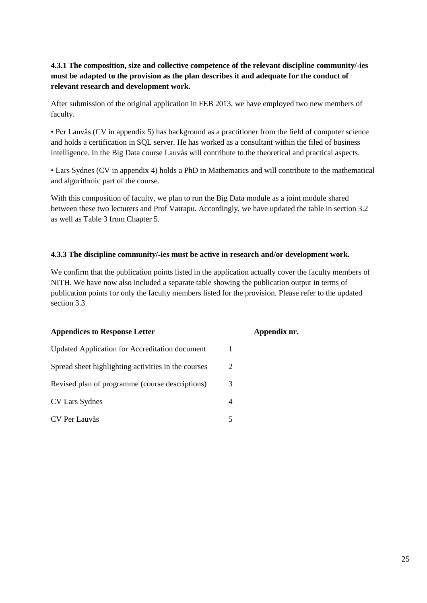## **4.3.1 The composition, size and collective competence of the relevant discipline community/-ies must be adapted to the provision as the plan describes it and adequate for the conduct of relevant research and development work.**

After submission of the original application in FEB 2013, we have employed two new members of faculty.

• Per Lauvås (CV in appendix 5) has background as a practitioner from the field of computer science and holds a certification in SQL server. He has worked as a consultant within the filed of business intelligence. In the Big Data course Lauvås will contribute to the theoretical and practical aspects.

• Lars Sydnes (CV in appendix 4) holds a PhD in Mathematics and will contribute to the mathematical and algorithmic part of the course.

With this composition of faculty, we plan to run the Big Data module as a joint module shared between these two lecturers and Prof Vatrapu. Accordingly, we have updated the table in section 3.2 as well as Table 3 from Chapter 5.

#### **4.3.3 The discipline community/**‐**ies must be active in research and/or development work.**

We confirm that the publication points listed in the application actually cover the faculty members of NITH. We have now also included a separate table showing the publication output in terms of publication points for only the faculty members listed for the provision. Please refer to the updated section 3.3

| <b>Appendices to Response Letter</b>                |   | Appendix nr. |
|-----------------------------------------------------|---|--------------|
| Updated Application for Accreditation document      |   |              |
| Spread sheet highlighting activities in the courses | 2 |              |
| Revised plan of programme (course descriptions)     | 3 |              |
| CV Lars Sydnes                                      | 4 |              |
| CV Per Lauvås                                       | 5 |              |
|                                                     |   |              |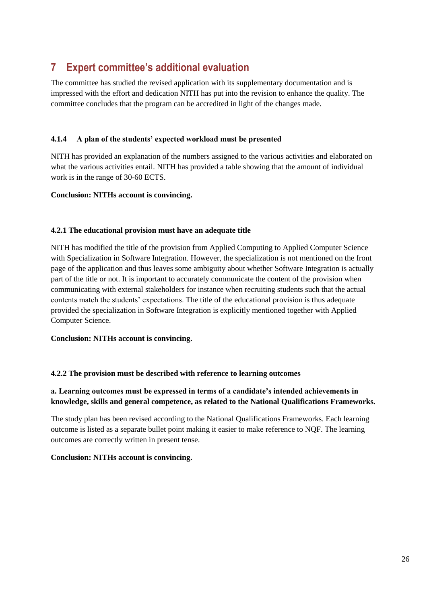## <span id="page-29-0"></span>**7 Expert committee's additional evaluation**

The committee has studied the revised application with its supplementary documentation and is impressed with the effort and dedication NITH has put into the revision to enhance the quality. The committee concludes that the program can be accredited in light of the changes made.

#### **4.1.4 A plan of the students' expected workload must be presented**

NITH has provided an explanation of the numbers assigned to the various activities and elaborated on what the various activities entail. NITH has provided a table showing that the amount of individual work is in the range of 30-60 ECTS.

#### **Conclusion: NITHs account is convincing.**

#### **4.2.1 The educational provision must have an adequate title**

NITH has modified the title of the provision from Applied Computing to Applied Computer Science with Specialization in Software Integration. However, the specialization is not mentioned on the front page of the application and thus leaves some ambiguity about whether Software Integration is actually part of the title or not. It is important to accurately communicate the content of the provision when communicating with external stakeholders for instance when recruiting students such that the actual contents match the students' expectations. The title of the educational provision is thus adequate provided the specialization in Software Integration is explicitly mentioned together with Applied Computer Science.

#### **Conclusion: NITHs account is convincing.**

#### **4.2.2 The provision must be described with reference to learning outcomes**

#### **a. Learning outcomes must be expressed in terms of a candidate's intended achievements in knowledge, skills and general competence, as related to the National Qualifications Frameworks.**

The study plan has been revised according to the National Qualifications Frameworks. Each learning outcome is listed as a separate bullet point making it easier to make reference to NQF. The learning outcomes are correctly written in present tense.

#### **Conclusion: NITHs account is convincing.**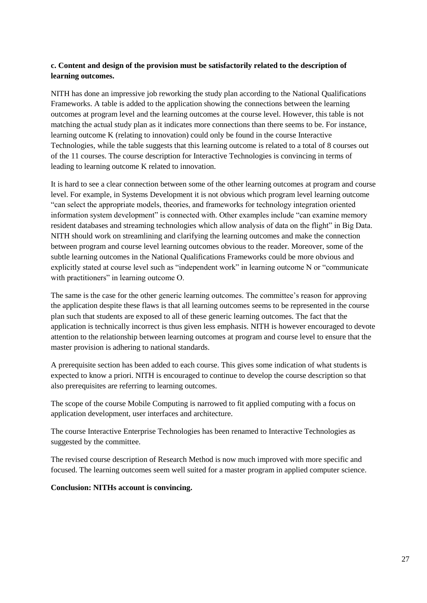#### **c. Content and design of the provision must be satisfactorily related to the description of learning outcomes.**

NITH has done an impressive job reworking the study plan according to the National Qualifications Frameworks. A table is added to the application showing the connections between the learning outcomes at program level and the learning outcomes at the course level. However, this table is not matching the actual study plan as it indicates more connections than there seems to be. For instance, learning outcome K (relating to innovation) could only be found in the course Interactive Technologies, while the table suggests that this learning outcome is related to a total of 8 courses out of the 11 courses. The course description for Interactive Technologies is convincing in terms of leading to learning outcome K related to innovation.

It is hard to see a clear connection between some of the other learning outcomes at program and course level. For example, in Systems Development it is not obvious which program level learning outcome "can select the appropriate models, theories, and frameworks for technology integration oriented information system development" is connected with. Other examples include "can examine memory resident databases and streaming technologies which allow analysis of data on the flight" in Big Data. NITH should work on streamlining and clarifying the learning outcomes and make the connection between program and course level learning outcomes obvious to the reader. Moreover, some of the subtle learning outcomes in the National Qualifications Frameworks could be more obvious and explicitly stated at course level such as "independent work" in learning outcome N or "communicate with practitioners" in learning outcome O.

The same is the case for the other generic learning outcomes. The committee's reason for approving the application despite these flaws is that all learning outcomes seems to be represented in the course plan such that students are exposed to all of these generic learning outcomes. The fact that the application is technically incorrect is thus given less emphasis. NITH is however encouraged to devote attention to the relationship between learning outcomes at program and course level to ensure that the master provision is adhering to national standards.

A prerequisite section has been added to each course. This gives some indication of what students is expected to know a priori. NITH is encouraged to continue to develop the course description so that also prerequisites are referring to learning outcomes.

The scope of the course Mobile Computing is narrowed to fit applied computing with a focus on application development, user interfaces and architecture.

The course Interactive Enterprise Technologies has been renamed to Interactive Technologies as suggested by the committee.

The revised course description of Research Method is now much improved with more specific and focused. The learning outcomes seem well suited for a master program in applied computer science.

#### **Conclusion: NITHs account is convincing.**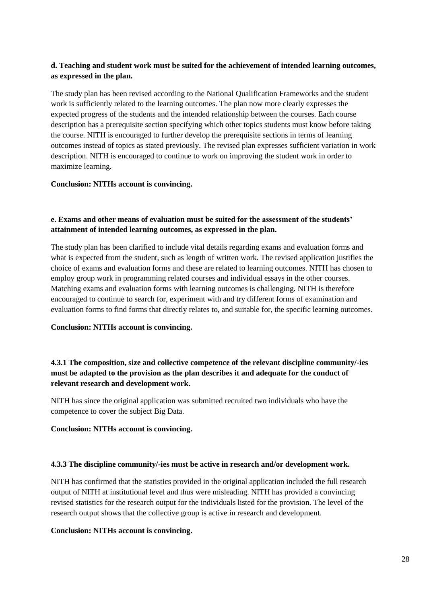#### **d. Teaching and student work must be suited for the achievement of intended learning outcomes, as expressed in the plan.**

The study plan has been revised according to the National Qualification Frameworks and the student work is sufficiently related to the learning outcomes. The plan now more clearly expresses the expected progress of the students and the intended relationship between the courses. Each course description has a prerequisite section specifying which other topics students must know before taking the course. NITH is encouraged to further develop the prerequisite sections in terms of learning outcomes instead of topics as stated previously. The revised plan expresses sufficient variation in work description. NITH is encouraged to continue to work on improving the student work in order to maximize learning.

#### **Conclusion: NITHs account is convincing.**

#### **e. Exams and other means of evaluation must be suited for the assessment of the students' attainment of intended learning outcomes, as expressed in the plan.**

The study plan has been clarified to include vital details regarding exams and evaluation forms and what is expected from the student, such as length of written work. The revised application justifies the choice of exams and evaluation forms and these are related to learning outcomes. NITH has chosen to employ group work in programming related courses and individual essays in the other courses. Matching exams and evaluation forms with learning outcomes is challenging. NITH is therefore encouraged to continue to search for, experiment with and try different forms of examination and evaluation forms to find forms that directly relates to, and suitable for, the specific learning outcomes.

#### **Conclusion: NITHs account is convincing.**

#### **4.3.1 The composition, size and collective competence of the relevant discipline community/-ies must be adapted to the provision as the plan describes it and adequate for the conduct of relevant research and development work.**

NITH has since the original application was submitted recruited two individuals who have the competence to cover the subject Big Data.

#### **Conclusion: NITHs account is convincing.**

#### **4.3.3 The discipline community/-ies must be active in research and/or development work.**

NITH has confirmed that the statistics provided in the original application included the full research output of NITH at institutional level and thus were misleading. NITH has provided a convincing revised statistics for the research output for the individuals listed for the provision. The level of the research output shows that the collective group is active in research and development.

#### **Conclusion: NITHs account is convincing.**